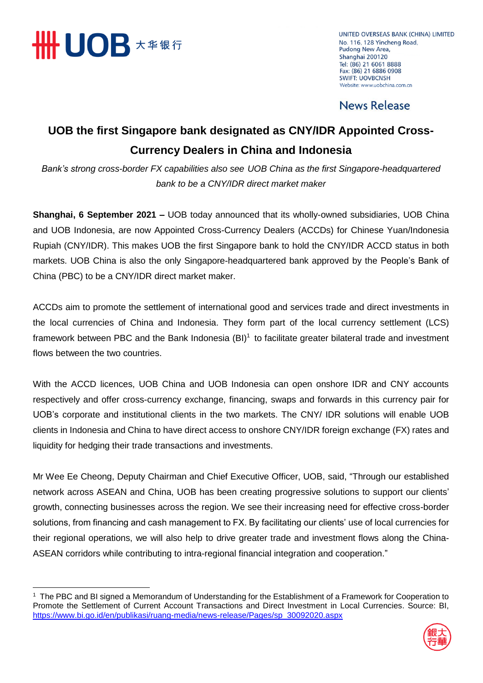

 $\overline{a}$ 

UNITED OVERSEAS BANK (CHINA) LIMITED No. 116, 128 Yincheng Road, Pudong New Area, Shanghai 200120 Tel: (86) 21 6061 8888 Fax: (86) 21 6886 0908 **SWIFT: UOVBCNSH** Website: www.uobchina.com.cn

#### **News Release**

### **UOB the first Singapore bank designated as CNY/IDR Appointed Cross-Currency Dealers in China and Indonesia**

*Bank's strong cross-border FX capabilities also see UOB China as the first Singapore-headquartered bank to be a CNY/IDR direct market maker*

**Shanghai, 6 September 2021 –** UOB today announced that its wholly-owned subsidiaries, UOB China and UOB Indonesia, are now Appointed Cross-Currency Dealers (ACCDs) for Chinese Yuan/Indonesia Rupiah (CNY/IDR). This makes UOB the first Singapore bank to hold the CNY/IDR ACCD status in both markets. UOB China is also the only Singapore-headquartered bank approved by the People's Bank of China (PBC) to be a CNY/IDR direct market maker.

ACCDs aim to promote the settlement of international good and services trade and direct investments in the local currencies of China and Indonesia. They form part of the local currency settlement (LCS) framework between PBC and the Bank Indonesia  $(BI)^1$  to facilitate greater bilateral trade and investment flows between the two countries.

With the ACCD licences, UOB China and UOB Indonesia can open onshore IDR and CNY accounts respectively and offer cross-currency exchange, financing, swaps and forwards in this currency pair for UOB's corporate and institutional clients in the two markets. The CNY/ IDR solutions will enable UOB clients in Indonesia and China to have direct access to onshore CNY/IDR foreign exchange (FX) rates and liquidity for hedging their trade transactions and investments.

Mr Wee Ee Cheong, Deputy Chairman and Chief Executive Officer, UOB, said, "Through our established network across ASEAN and China, UOB has been creating progressive solutions to support our clients' growth, connecting businesses across the region. We see their increasing need for effective cross-border solutions, from financing and cash management to FX. By facilitating our clients' use of local currencies for their regional operations, we will also help to drive greater trade and investment flows along the China-ASEAN corridors while contributing to intra-regional financial integration and cooperation."

<sup>1</sup> The PBC and BI signed a Memorandum of Understanding for the Establishment of a Framework for Cooperation to Promote the Settlement of Current Account Transactions and Direct Investment in Local Currencies. Source: BI, [https://www.bi.go.id/en/publikasi/ruang-media/news-release/Pages/sp\\_30092020.aspx](https://www.bi.go.id/en/publikasi/ruang-media/news-release/Pages/sp_30092020.aspx)

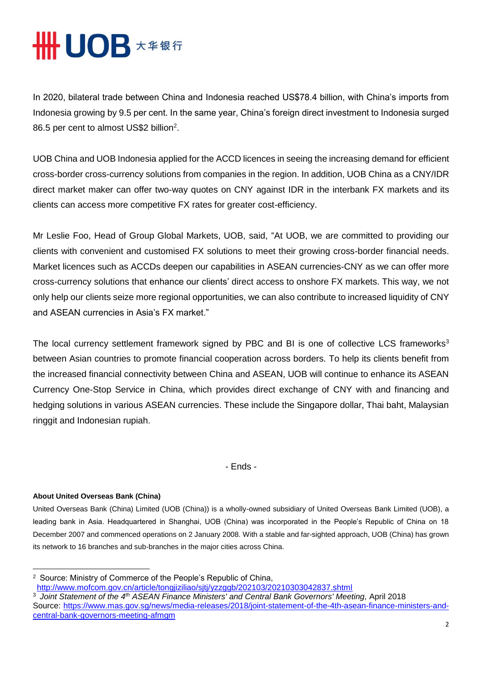# **HHUOB \*\*\*\***

In 2020, bilateral trade between China and Indonesia reached US\$78.4 billion, with China's imports from Indonesia growing by 9.5 per cent. In the same year, China's foreign direct investment to Indonesia surged 86.5 per cent to almost US\$2 billion<sup>2</sup>.

UOB China and UOB Indonesia applied for the ACCD licences in seeing the increasing demand for efficient cross-border cross-currency solutions from companies in the region. In addition, UOB China as a CNY/IDR direct market maker can offer two-way quotes on CNY against IDR in the interbank FX markets and its clients can access more competitive FX rates for greater cost-efficiency.

Mr Leslie Foo, Head of Group Global Markets, UOB, said, "At UOB, we are committed to providing our clients with convenient and customised FX solutions to meet their growing cross-border financial needs. Market licences such as ACCDs deepen our capabilities in ASEAN currencies-CNY as we can offer more cross-currency solutions that enhance our clients' direct access to onshore FX markets. This way, we not only help our clients seize more regional opportunities, we can also contribute to increased liquidity of CNY and ASEAN currencies in Asia's FX market."

The local currency settlement framework signed by PBC and BI is one of collective LCS frameworks<sup>3</sup> between Asian countries to promote financial cooperation across borders. To help its clients benefit from the increased financial connectivity between China and ASEAN, UOB will continue to enhance its ASEAN Currency One-Stop Service in China, which provides direct exchange of CNY with and financing and hedging solutions in various ASEAN currencies. These include the Singapore dollar, Thai baht, Malaysian ringgit and Indonesian rupiah.

- Ends -

#### **About United Overseas Bank (China)**

 $\overline{a}$ 

United Overseas Bank (China) Limited (UOB (China)) is a wholly-owned subsidiary of United Overseas Bank Limited (UOB), a leading bank in Asia. Headquartered in Shanghai, UOB (China) was incorporated in the People's Republic of China on 18 December 2007 and commenced operations on 2 January 2008. With a stable and far-sighted approach, UOB (China) has grown its network to 16 branches and sub-branches in the major cities across China.

<http://www.mofcom.gov.cn/article/tongjiziliao/sjtj/yzzggb/202103/20210303042837.shtml>

<sup>2</sup> Source: Ministry of Commerce of the People's Republic of China,

<sup>3</sup> *Joint Statement of the 4th ASEAN Finance Ministers' and Central Bank Governors' Meeting,* April 2018 Source: [https://www.mas.gov.sg/news/media-releases/2018/joint-statement-of-the-4th-asean-finance-ministers-and](https://www.mas.gov.sg/news/media-releases/2018/joint-statement-of-the-4th-asean-finance-ministers-and-central-bank-governors-meeting-afmgm)[central-bank-governors-meeting-afmgm](https://www.mas.gov.sg/news/media-releases/2018/joint-statement-of-the-4th-asean-finance-ministers-and-central-bank-governors-meeting-afmgm)